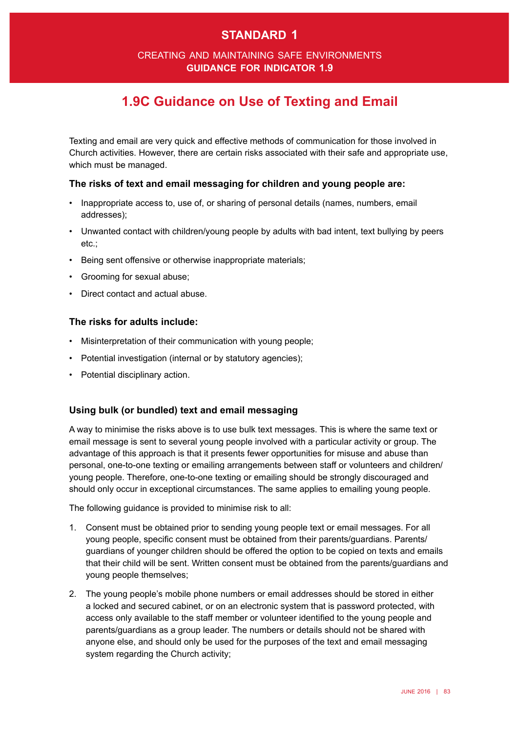# **standard 1**

### creating and maintaining safe environments **guidance for indicator 1.9**

# **1.9C Guidance on Use of Texting and Email**

Texting and email are very quick and effective methods of communication for those involved in Church activities. However, there are certain risks associated with their safe and appropriate use, which must be managed.

#### **The risks of text and email messaging for children and young people are:**

- • Inappropriate access to, use of, or sharing of personal details (names, numbers, email addresses);
- Unwanted contact with children/young people by adults with bad intent, text bullying by peers etc.;
- Being sent offensive or otherwise inappropriate materials;
- Grooming for sexual abuse;
- Direct contact and actual abuse

#### **The risks for adults include:**

- Misinterpretation of their communication with young people:
- Potential investigation (internal or by statutory agencies);
- • Potential disciplinary action.

#### **Using bulk (or bundled) text and email messaging**

A way to minimise the risks above is to use bulk text messages. This is where the same text or email message is sent to several young people involved with a particular activity or group. The advantage of this approach is that it presents fewer opportunities for misuse and abuse than personal, one-to-one texting or emailing arrangements between staff or volunteers and children/ young people. Therefore, one-to-one texting or emailing should be strongly discouraged and should only occur in exceptional circumstances. The same applies to emailing young people.

The following guidance is provided to minimise risk to all:

- 1. Consent must be obtained prior to sending young people text or email messages. For all young people, specific consent must be obtained from their parents/guardians. Parents/ guardians of younger children should be offered the option to be copied on texts and emails that their child will be sent. Written consent must be obtained from the parents/guardians and young people themselves;
- 2. The young people's mobile phone numbers or email addresses should be stored in either a locked and secured cabinet, or on an electronic system that is password protected, with access only available to the staff member or volunteer identifed to the young people and parents/guardians as a group leader. The numbers or details should not be shared with anyone else, and should only be used for the purposes of the text and email messaging system regarding the Church activity;